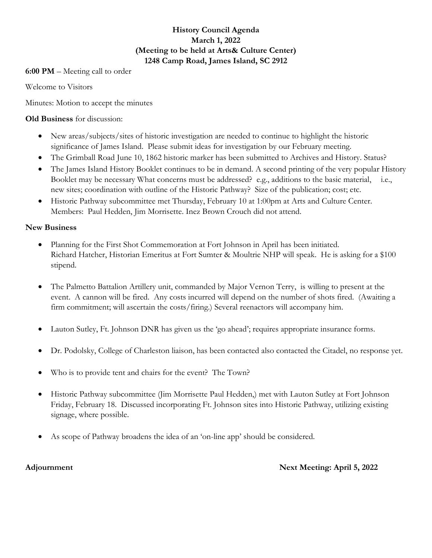## **History Council Agenda March 1, 2022 (Meeting to be held at Arts& Culture Center) 1248 Camp Road, James Island, SC 2912**

### **6:00 PM** – Meeting call to order

Welcome to Visitors

Minutes: Motion to accept the minutes

**Old Business** for discussion:

- New areas/subjects/sites of historic investigation are needed to continue to highlight the historic significance of James Island. Please submit ideas for investigation by our February meeting.
- The Grimball Road June 10, 1862 historic marker has been submitted to Archives and History. Status?
- The James Island History Booklet continues to be in demand. A second printing of the very popular History Booklet may be necessary What concerns must be addressed? e.g., additions to the basic material, i.e., new sites; coordination with outline of the Historic Pathway? Size of the publication; cost; etc.
- Historic Pathway subcommittee met Thursday, February 10 at 1:00pm at Arts and Culture Center. Members: Paul Hedden, Jim Morrisette. Inez Brown Crouch did not attend.

# **New Business**

- Planning for the First Shot Commemoration at Fort Johnson in April has been initiated. Richard Hatcher, Historian Emeritus at Fort Sumter & Moultrie NHP will speak. He is asking for a \$100 stipend.
- The Palmetto Battalion Artillery unit, commanded by Major Vernon Terry, is willing to present at the event. A cannon will be fired. Any costs incurred will depend on the number of shots fired. (Awaiting a firm commitment; will ascertain the costs/firing.) Several reenactors will accompany him.
- Lauton Sutley, Ft. Johnson DNR has given us the 'go ahead'; requires appropriate insurance forms.
- Dr. Podolsky, College of Charleston liaison, has been contacted also contacted the Citadel, no response yet.
- Who is to provide tent and chairs for the event? The Town?
- Historic Pathway subcommittee (Jim Morrisette Paul Hedden,) met with Lauton Sutley at Fort Johnson Friday, February 18. Discussed incorporating Ft. Johnson sites into Historic Pathway, utilizing existing signage, where possible.
- As scope of Pathway broadens the idea of an 'on-line app' should be considered.

**Adjournment** Next Meeting: April 5, 2022